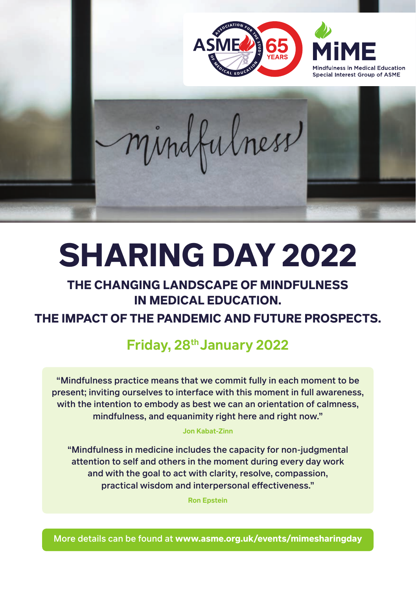

# **SHARING DAY 2022**

# **THE CHANGING LANDSCAPE OF MINDFULNESS IN MEDICAL EDUCATION.**

# **THE IMPACT OF THE PANDEMIC AND FUTURE PROSPECTS.**

# **Friday, 28th January 2022**

"Mindfulness practice means that we commit fully in each moment to be present; inviting ourselves to interface with this moment in full awareness, with the intention to embody as best we can an orientation of calmness, mindfulness, and equanimity right here and right now."

#### **Jon Kabat-Zinn**

"Mindfulness in medicine includes the capacity for non-judgmental attention to self and others in the moment during every day work and with the goal to act with clarity, resolve, compassion, practical wisdom and interpersonal effectiveness."

**Ron Epstein**

More details can be found at **www.asme.org.uk/events/mimesharingday**